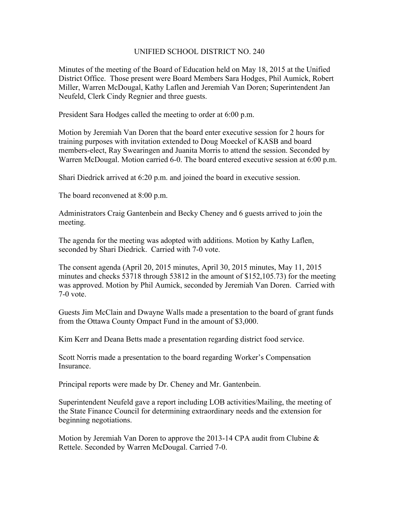## UNIFIED SCHOOL DISTRICT NO. 240

Minutes of the meeting of the Board of Education held on May 18, 2015 at the Unified District Office. Those present were Board Members Sara Hodges, Phil Aumick, Robert Miller, Warren McDougal, Kathy Laflen and Jeremiah Van Doren; Superintendent Jan Neufeld, Clerk Cindy Regnier and three guests.

President Sara Hodges called the meeting to order at 6:00 p.m.

Motion by Jeremiah Van Doren that the board enter executive session for 2 hours for training purposes with invitation extended to Doug Moeckel of KASB and board members-elect, Ray Swearingen and Juanita Morris to attend the session. Seconded by Warren McDougal. Motion carried 6-0. The board entered executive session at 6:00 p.m.

Shari Diedrick arrived at 6:20 p.m. and joined the board in executive session.

The board reconvened at 8:00 p.m.

Administrators Craig Gantenbein and Becky Cheney and 6 guests arrived to join the meeting.

The agenda for the meeting was adopted with additions. Motion by Kathy Laflen, seconded by Shari Diedrick. Carried with 7-0 vote.

The consent agenda (April 20, 2015 minutes, April 30, 2015 minutes, May 11, 2015 minutes and checks 53718 through 53812 in the amount of \$152,105.73) for the meeting was approved. Motion by Phil Aumick, seconded by Jeremiah Van Doren. Carried with 7-0 vote.

Guests Jim McClain and Dwayne Walls made a presentation to the board of grant funds from the Ottawa County Ompact Fund in the amount of \$3,000.

Kim Kerr and Deana Betts made a presentation regarding district food service.

Scott Norris made a presentation to the board regarding Worker's Compensation Insurance.

Principal reports were made by Dr. Cheney and Mr. Gantenbein.

Superintendent Neufeld gave a report including LOB activities/Mailing, the meeting of the State Finance Council for determining extraordinary needs and the extension for beginning negotiations.

Motion by Jeremiah Van Doren to approve the 2013-14 CPA audit from Clubine  $\&$ Rettele. Seconded by Warren McDougal. Carried 7-0.